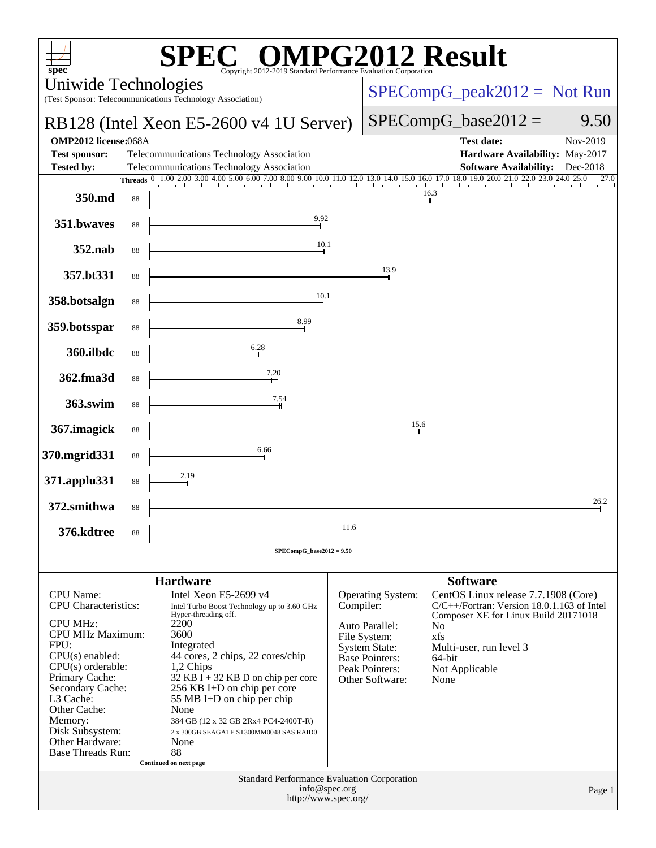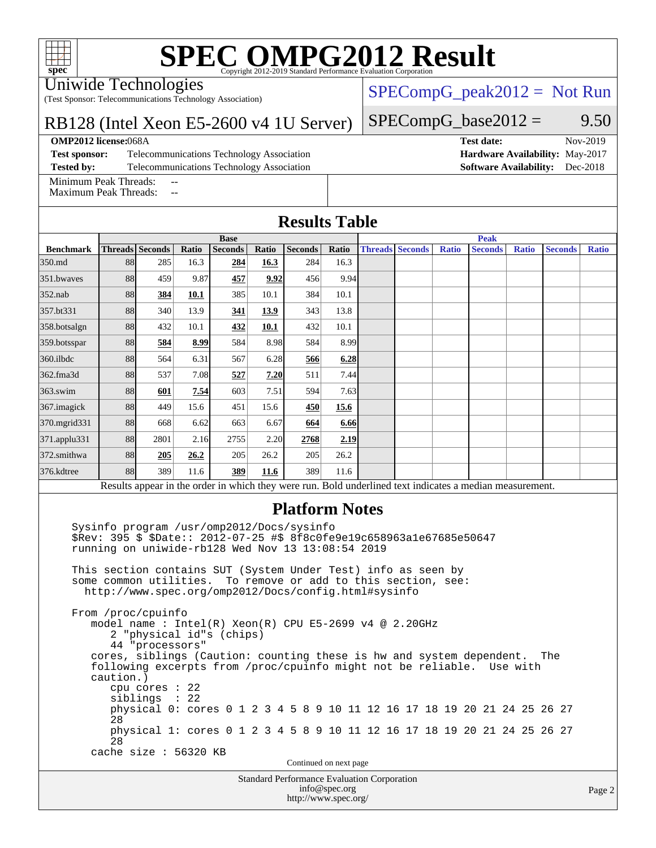#### Uniwide Technologies

(Test Sponsor: Telecommunications Technology Association)

#### RB128 (Intel Xeon E5-2600 v4 1U Server)

**[OMP2012 license:](http://www.spec.org/auto/omp2012/Docs/result-fields.html#OMP2012license)**068A **[Test date:](http://www.spec.org/auto/omp2012/Docs/result-fields.html#Testdate)** Nov-2019

**[Test sponsor:](http://www.spec.org/auto/omp2012/Docs/result-fields.html#Testsponsor)** Telecommunications Technology Association **[Hardware Availability:](http://www.spec.org/auto/omp2012/Docs/result-fields.html#HardwareAvailability)** May-2017 **[Tested by:](http://www.spec.org/auto/omp2012/Docs/result-fields.html#Testedby)** Telecommunications Technology Association **[Software Availability:](http://www.spec.org/auto/omp2012/Docs/result-fields.html#SoftwareAvailability)** Dec-2018

[Minimum Peak Threads:](http://www.spec.org/auto/omp2012/Docs/result-fields.html#MinimumPeakThreads)

[Maximum Peak Threads:](http://www.spec.org/auto/omp2012/Docs/result-fields.html#MaximumPeakThreads)

 $SPECompG_base2012 = 9.50$  $SPECompG_base2012 = 9.50$ 

 $SPECompG_peak2012 = Not Run$  $SPECompG_peak2012 = Not Run$ 

| <b>Results Table</b> |  |
|----------------------|--|
|                      |  |

|                                                                                                          | <b>Base</b> |                        |       |                |       |                | <b>Peak</b> |  |                        |              |                |              |                |              |
|----------------------------------------------------------------------------------------------------------|-------------|------------------------|-------|----------------|-------|----------------|-------------|--|------------------------|--------------|----------------|--------------|----------------|--------------|
| <b>Benchmark</b>                                                                                         |             | <b>Threads</b> Seconds | Ratio | <b>Seconds</b> | Ratio | <b>Seconds</b> | Ratio       |  | <b>Threads Seconds</b> | <b>Ratio</b> | <b>Seconds</b> | <b>Ratio</b> | <b>Seconds</b> | <b>Ratio</b> |
| 350.md                                                                                                   | 88          | 285                    | 16.3  | 284            | 16.3  | 284            | 16.3        |  |                        |              |                |              |                |              |
| 351.bwaves                                                                                               | 88          | 459                    | 9.87  | 457            | 9.92  | 456            | 9.94        |  |                        |              |                |              |                |              |
| $352$ .nab                                                                                               | 88          | 384                    | 10.1  | 385            | 10.1  | 384            | 10.1        |  |                        |              |                |              |                |              |
| 357.bt331                                                                                                | 88          | 340                    | 13.9  | 341            | 13.9  | 343            | 13.8        |  |                        |              |                |              |                |              |
| 358.botsalgn                                                                                             | 88          | 432                    | 10.1  | 432            | 10.1  | 432            | 10.1        |  |                        |              |                |              |                |              |
| 359.botsspar                                                                                             | 88          | 584                    | 8.99  | 584            | 8.98  | 584            | 8.99        |  |                        |              |                |              |                |              |
| $360$ .ilbdc                                                                                             | 88          | 564                    | 6.31  | 567            | 6.28  | 566            | 6.28        |  |                        |              |                |              |                |              |
| 362.fma3d                                                                                                | 88          | 537                    | 7.08  | 527            | 7.20  | 511            | 7.44        |  |                        |              |                |              |                |              |
| $363$ .swim                                                                                              | 88          | 601                    | 7.54  | 603            | 7.51  | 594            | 7.63        |  |                        |              |                |              |                |              |
| 367.imagick                                                                                              | 88          | 449                    | 15.6  | 451            | 15.6  | 450            | 15.6        |  |                        |              |                |              |                |              |
| 370.mgrid331                                                                                             | 88          | 668                    | 6.62  | 663            | 6.67  | 664            | 6.66        |  |                        |              |                |              |                |              |
| 371.applu331                                                                                             | 88          | 2801                   | 2.16  | 2755           | 2.20  | 2768           | 2.19        |  |                        |              |                |              |                |              |
| 372.smithwa                                                                                              | 88          | 205                    | 26.2  | 205            | 26.2  | 205            | 26.2        |  |                        |              |                |              |                |              |
| 376.kdtree                                                                                               | 88          | 389                    | 11.6  | 389            | 11.6  | 389            | 11.6        |  |                        |              |                |              |                |              |
| Results appear in the order in which they were run. Bold underlined text indicates a median measurement. |             |                        |       |                |       |                |             |  |                        |              |                |              |                |              |

### **[Platform Notes](http://www.spec.org/auto/omp2012/Docs/result-fields.html#PlatformNotes)**

 Sysinfo program /usr/omp2012/Docs/sysinfo \$Rev: 395 \$ \$Date:: 2012-07-25 #\$ 8f8c0fe9e19c658963a1e67685e50647 running on uniwide-rb128 Wed Nov 13 13:08:54 2019

 This section contains SUT (System Under Test) info as seen by some common utilities. To remove or add to this section, see: <http://www.spec.org/omp2012/Docs/config.html#sysinfo>

 From /proc/cpuinfo model name : Intel(R) Xeon(R) CPU E5-2699 v4 @ 2.20GHz 2 "physical id"s (chips) 44 "processors" cores, siblings (Caution: counting these is hw and system dependent. The following excerpts from /proc/cpuinfo might not be reliable. Use with caution.) cpu cores : 22 siblings : 22 physical 0: cores 0 1 2 3 4 5 8 9 10 11 12 16 17 18 19 20 21 24 25 26 27 28 physical 1: cores 0 1 2 3 4 5 8 9 10 11 12 16 17 18 19 20 21 24 25 26 27 28 cache size : 56320 KB

Continued on next page

Standard Performance Evaluation Corporation [info@spec.org](mailto:info@spec.org) <http://www.spec.org/>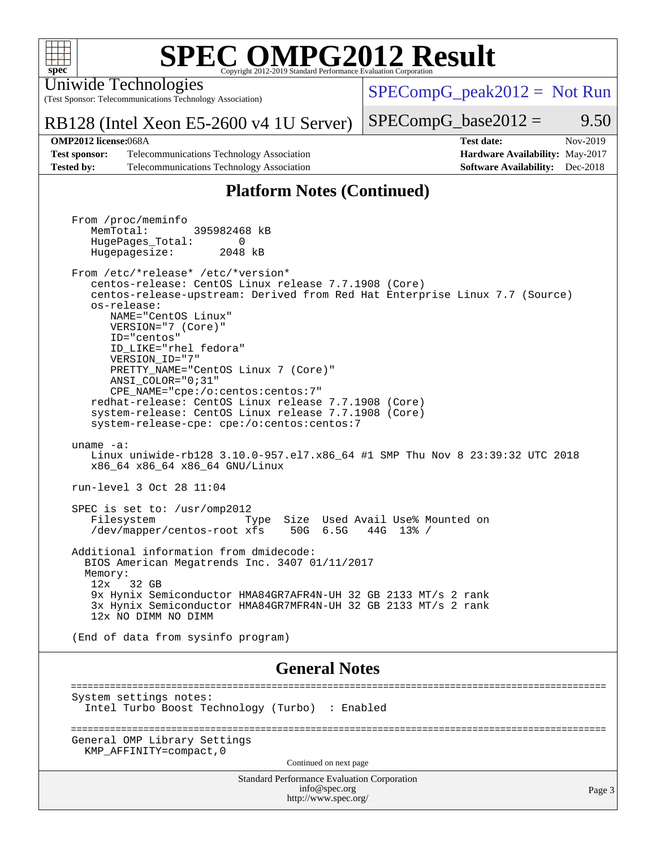

Uniwide Technologies

(Test Sponsor: Telecommunications Technology Association)

[SPECompG\\_peak2012 =](http://www.spec.org/auto/omp2012/Docs/result-fields.html#SPECompGpeak2012) Not Run

RB128 (Intel Xeon E5-2600 v4 1U Server)

 $SPECompG_base2012 = 9.50$  $SPECompG_base2012 = 9.50$ 

**[Test sponsor:](http://www.spec.org/auto/omp2012/Docs/result-fields.html#Testsponsor)** Telecommunications Technology Association **[Hardware Availability:](http://www.spec.org/auto/omp2012/Docs/result-fields.html#HardwareAvailability)** May-2017 **[Tested by:](http://www.spec.org/auto/omp2012/Docs/result-fields.html#Testedby)** Telecommunications Technology Association **[Software Availability:](http://www.spec.org/auto/omp2012/Docs/result-fields.html#SoftwareAvailability)** Dec-2018

# **[OMP2012 license:](http://www.spec.org/auto/omp2012/Docs/result-fields.html#OMP2012license)**068A **[Test date:](http://www.spec.org/auto/omp2012/Docs/result-fields.html#Testdate)** Nov-2019

### **[Platform Notes \(Continued\)](http://www.spec.org/auto/omp2012/Docs/result-fields.html#PlatformNotes)**

Standard Performance Evaluation Corporation From /proc/meminfo MemTotal: 395982468 kB HugePages\_Total: 0<br>Hugepagesize: 2048 kB Hugepagesize: From /etc/\*release\* /etc/\*version\* centos-release: CentOS Linux release 7.7.1908 (Core) centos-release-upstream: Derived from Red Hat Enterprise Linux 7.7 (Source) os-release: NAME="CentOS Linux" VERSION="7 (Core)" ID="centos" ID\_LIKE="rhel fedora" VERSION\_ID="7" PRETTY\_NAME="CentOS Linux 7 (Core)" ANSI\_COLOR="0;31" CPE\_NAME="cpe:/o:centos:centos:7" redhat-release: CentOS Linux release 7.7.1908 (Core) system-release: CentOS Linux release 7.7.1908 (Core) system-release-cpe: cpe:/o:centos:centos:7 uname -a: Linux uniwide-rb128 3.10.0-957.el7.x86\_64 #1 SMP Thu Nov 8 23:39:32 UTC 2018 x86\_64 x86\_64 x86\_64 GNU/Linux run-level 3 Oct 28 11:04 SPEC is set to: /usr/omp2012 Filesystem Type Size Used Avail Use% Mounted on /dev/mapper/centos-root xfs 50G 6.5G 44G 13% / Additional information from dmidecode: BIOS American Megatrends Inc. 3407 01/11/2017 Memory: 12x 32 GB 9x Hynix Semiconductor HMA84GR7AFR4N-UH 32 GB 2133 MT/s 2 rank 3x Hynix Semiconductor HMA84GR7MFR4N-UH 32 GB 2133 MT/s 2 rank 12x NO DIMM NO DIMM (End of data from sysinfo program) **[General Notes](http://www.spec.org/auto/omp2012/Docs/result-fields.html#GeneralNotes)** ================================================================================================ System settings notes: Intel Turbo Boost Technology (Turbo) : Enabled ================================================================================================ General OMP Library Settings KMP\_AFFINITY=compact,0 Continued on next page

> [info@spec.org](mailto:info@spec.org) <http://www.spec.org/>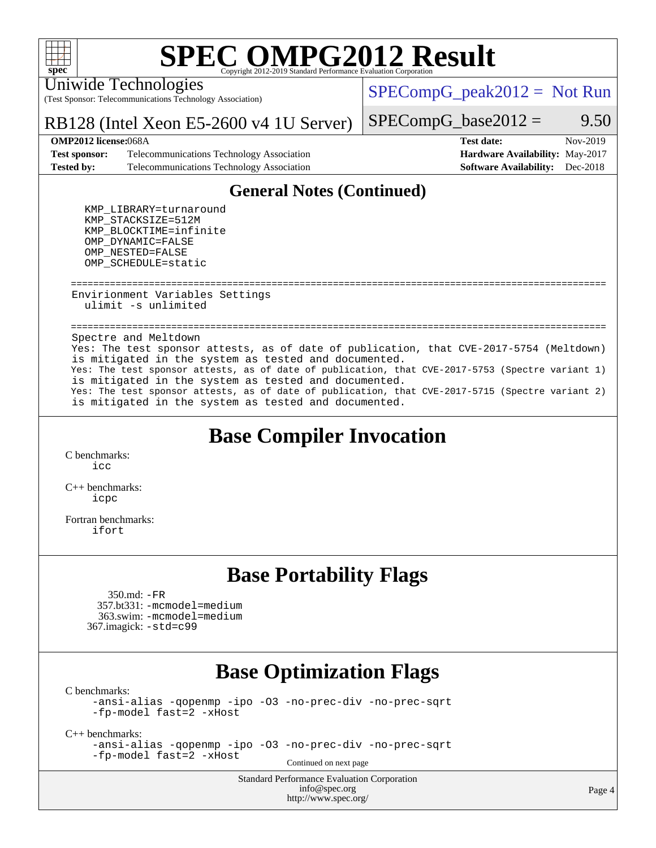

Uniwide Technologies

(Test Sponsor: Telecommunications Technology Association)

 $SPECompG_peak2012 = Not Run$  $SPECompG_peak2012 = Not Run$ 

#### RB128 (Intel Xeon E5-2600 v4 1U Server)

 $SPECompG_base2012 = 9.50$  $SPECompG_base2012 = 9.50$ 

#### **[OMP2012 license:](http://www.spec.org/auto/omp2012/Docs/result-fields.html#OMP2012license)**068A **[Test date:](http://www.spec.org/auto/omp2012/Docs/result-fields.html#Testdate)** Nov-2019

**[Test sponsor:](http://www.spec.org/auto/omp2012/Docs/result-fields.html#Testsponsor)** Telecommunications Technology Association **[Hardware Availability:](http://www.spec.org/auto/omp2012/Docs/result-fields.html#HardwareAvailability)** May-2017 **[Tested by:](http://www.spec.org/auto/omp2012/Docs/result-fields.html#Testedby)** Telecommunications Technology Association **[Software Availability:](http://www.spec.org/auto/omp2012/Docs/result-fields.html#SoftwareAvailability)** Dec-2018

## **[General Notes \(Continued\)](http://www.spec.org/auto/omp2012/Docs/result-fields.html#GeneralNotes)**

 KMP\_LIBRARY=turnaround KMP\_STACKSIZE=512M KMP\_BLOCKTIME=infinite OMP\_DYNAMIC=FALSE OMP\_NESTED=FALSE OMP\_SCHEDULE=static

 ================================================================================================ Envirionment Variables Settings ulimit -s unlimited

 ================================================================================================ Spectre and Meltdown Yes: The test sponsor attests, as of date of publication, that CVE-2017-5754 (Meltdown) is mitigated in the system as tested and documented. Yes: The test sponsor attests, as of date of publication, that CVE-2017-5753 (Spectre variant 1) is mitigated in the system as tested and documented. Yes: The test sponsor attests, as of date of publication, that CVE-2017-5715 (Spectre variant 2) is mitigated in the system as tested and documented.

### **[Base Compiler Invocation](http://www.spec.org/auto/omp2012/Docs/result-fields.html#BaseCompilerInvocation)**

[C benchmarks](http://www.spec.org/auto/omp2012/Docs/result-fields.html#Cbenchmarks): [icc](http://www.spec.org/omp2012/results/res2019q4/omp2012-20191113-00188.flags.html#user_CCbase_intel_icc)

[C++ benchmarks:](http://www.spec.org/auto/omp2012/Docs/result-fields.html#CXXbenchmarks) [icpc](http://www.spec.org/omp2012/results/res2019q4/omp2012-20191113-00188.flags.html#user_CXXbase_intel_icpc)

[Fortran benchmarks](http://www.spec.org/auto/omp2012/Docs/result-fields.html#Fortranbenchmarks): [ifort](http://www.spec.org/omp2012/results/res2019q4/omp2012-20191113-00188.flags.html#user_FCbase_intel_ifort)

### **[Base Portability Flags](http://www.spec.org/auto/omp2012/Docs/result-fields.html#BasePortabilityFlags)**

 350.md: [-FR](http://www.spec.org/omp2012/results/res2019q4/omp2012-20191113-00188.flags.html#user_baseFPORTABILITY350_md_f-FR_826f1f71b114efdd895e50dc86c480ee) 357.bt331: [-mcmodel=medium](http://www.spec.org/omp2012/results/res2019q4/omp2012-20191113-00188.flags.html#user_baseFPORTABILITY357_bt331_f-mcmodel_3a41622424bdd074c4f0f2d2f224c7e5) 363.swim: [-mcmodel=medium](http://www.spec.org/omp2012/results/res2019q4/omp2012-20191113-00188.flags.html#user_baseFPORTABILITY363_swim_f-mcmodel_3a41622424bdd074c4f0f2d2f224c7e5) 367.imagick: [-std=c99](http://www.spec.org/omp2012/results/res2019q4/omp2012-20191113-00188.flags.html#user_baseCPORTABILITY367_imagick_f-std_2ec6533b6e06f1c4a6c9b78d9e9cde24)

### **[Base Optimization Flags](http://www.spec.org/auto/omp2012/Docs/result-fields.html#BaseOptimizationFlags)**

[C benchmarks](http://www.spec.org/auto/omp2012/Docs/result-fields.html#Cbenchmarks):

[-ansi-alias](http://www.spec.org/omp2012/results/res2019q4/omp2012-20191113-00188.flags.html#user_CCbase_f-ansi-alias) [-qopenmp](http://www.spec.org/omp2012/results/res2019q4/omp2012-20191113-00188.flags.html#user_CCbase_f-qopenmp) [-ipo](http://www.spec.org/omp2012/results/res2019q4/omp2012-20191113-00188.flags.html#user_CCbase_f-ipo) [-O3](http://www.spec.org/omp2012/results/res2019q4/omp2012-20191113-00188.flags.html#user_CCbase_f-O3) [-no-prec-div](http://www.spec.org/omp2012/results/res2019q4/omp2012-20191113-00188.flags.html#user_CCbase_f-no-prec-div) [-no-prec-sqrt](http://www.spec.org/omp2012/results/res2019q4/omp2012-20191113-00188.flags.html#user_CCbase_f-no-prec-sqrt) [-fp-model fast=2](http://www.spec.org/omp2012/results/res2019q4/omp2012-20191113-00188.flags.html#user_CCbase_f-fp-model_a7fb8ccb7275e23f0079632c153cfcab) [-xHost](http://www.spec.org/omp2012/results/res2019q4/omp2012-20191113-00188.flags.html#user_CCbase_f-xhost_1e10f91eff8f78573df9db5f5d873511)

[C++ benchmarks:](http://www.spec.org/auto/omp2012/Docs/result-fields.html#CXXbenchmarks)

[-ansi-alias](http://www.spec.org/omp2012/results/res2019q4/omp2012-20191113-00188.flags.html#user_CXXbase_f-ansi-alias) [-qopenmp](http://www.spec.org/omp2012/results/res2019q4/omp2012-20191113-00188.flags.html#user_CXXbase_f-qopenmp) [-ipo](http://www.spec.org/omp2012/results/res2019q4/omp2012-20191113-00188.flags.html#user_CXXbase_f-ipo) [-O3](http://www.spec.org/omp2012/results/res2019q4/omp2012-20191113-00188.flags.html#user_CXXbase_f-O3) [-no-prec-div](http://www.spec.org/omp2012/results/res2019q4/omp2012-20191113-00188.flags.html#user_CXXbase_f-no-prec-div) [-no-prec-sqrt](http://www.spec.org/omp2012/results/res2019q4/omp2012-20191113-00188.flags.html#user_CXXbase_f-no-prec-sqrt) [-fp-model fast=2](http://www.spec.org/omp2012/results/res2019q4/omp2012-20191113-00188.flags.html#user_CXXbase_f-fp-model_a7fb8ccb7275e23f0079632c153cfcab) [-xHost](http://www.spec.org/omp2012/results/res2019q4/omp2012-20191113-00188.flags.html#user_CXXbase_f-xhost_1e10f91eff8f78573df9db5f5d873511)

Continued on next page

Standard Performance Evaluation Corporation [info@spec.org](mailto:info@spec.org) <http://www.spec.org/>